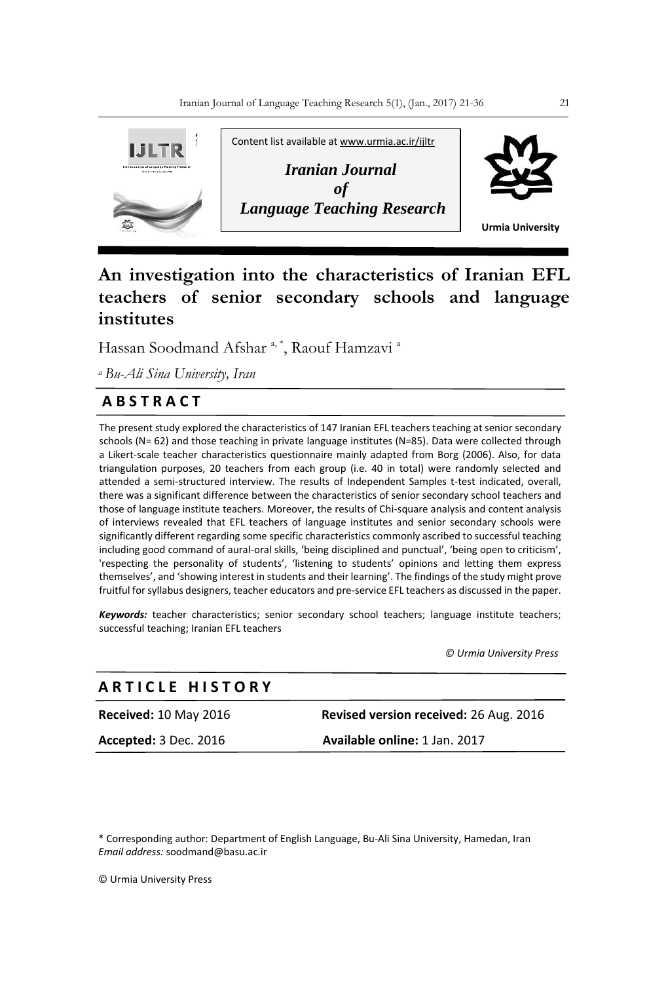

# **An investigation into the characteristics of Iranian EFL teachers of senior secondary schools and language institutes**

Hassan Soodmand Afshar <sup>a, \*</sup>, Raouf Hamzavi <sup>a</sup>

*<sup>a</sup>Bu-Ali Sina University, Iran*

# **A B S T R A C T**

The present study explored the characteristics of 147 Iranian EFL teachers teaching at senior secondary schools (N= 62) and those teaching in private language institutes (N=85). Data were collected through a Likert-scale teacher characteristics questionnaire mainly adapted from Borg (2006). Also, for data triangulation purposes, 20 teachers from each group (i.e. 40 in total) were randomly selected and attended a semi-structured interview. The results of Independent Samples t-test indicated, overall, there was a significant difference between the characteristics of senior secondary school teachers and those of language institute teachers. Moreover, the results of Chi-square analysis and content analysis of interviews revealed that EFL teachers of language institutes and senior secondary schools were significantly different regarding some specific characteristics commonly ascribed to successful teaching including good command of aural-oral skills, ʻbeing disciplined and punctual', ʻbeing open to criticism', 'respecting the personality of students', ʻlistening to students' opinions and letting them express themselves', and ʻshowing interest in students and their learning'. The findings of the study might prove fruitful for syllabus designers, teacher educators and pre-service EFL teachers as discussed in the paper.

*Keywords:* teacher characteristics; senior secondary school teachers; language institute teachers; successful teaching; Iranian EFL teachers

 *© Urmia University Press*

# **A R T I C L E H I S T O R Y**

**Accepted:** 3 Dec. 2016 **Available online:** 1 Jan. 2017

**Received:** 10 May 2016 **Revised version received:** 26 Aug. 2016

\* Corresponding author: Department of English Language, Bu-Ali Sina University, Hamedan, Iran *Email address:* soodmand@basu.ac.ir

© Urmia University Press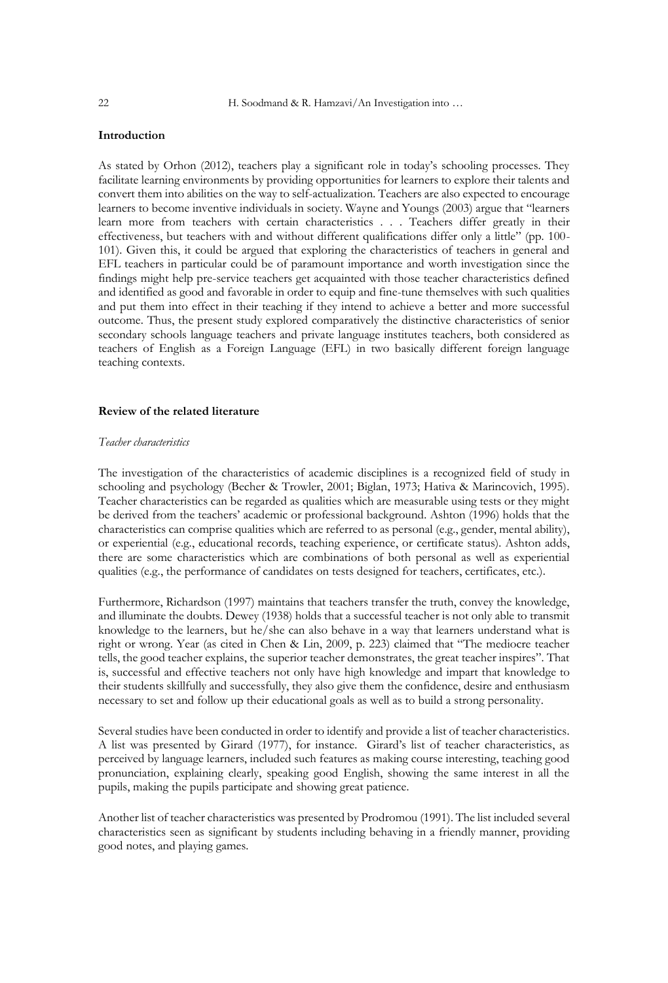# **Introduction**

As stated by Orhon (2012), teachers play a significant role in today's schooling processes. They facilitate learning environments by providing opportunities for learners to explore their talents and convert them into abilities on the way to self-actualization. Teachers are also expected to encourage learners to become inventive individuals in society. Wayne and Youngs (2003) argue that "learners learn more from teachers with certain characteristics . . . Teachers differ greatly in their effectiveness, but teachers with and without different qualifications differ only a little" (pp. 100- 101). Given this, it could be argued that exploring the characteristics of teachers in general and EFL teachers in particular could be of paramount importance and worth investigation since the findings might help pre-service teachers get acquainted with those teacher characteristics defined and identified as good and favorable in order to equip and fine-tune themselves with such qualities and put them into effect in their teaching if they intend to achieve a better and more successful outcome. Thus, the present study explored comparatively the distinctive characteristics of senior secondary schools language teachers and private language institutes teachers, both considered as teachers of English as a Foreign Language (EFL) in two basically different foreign language teaching contexts.

# **Review of the related literature**

#### *Teacher characteristics*

The investigation of the characteristics of academic disciplines is a recognized field of study in schooling and psychology (Becher & Trowler, 2001; Biglan, 1973; Hativa & Marincovich, 1995). Teacher characteristics can be regarded as qualities which are measurable using tests or they might be derived from the teachers' academic or professional background. Ashton (1996) holds that the characteristics can comprise qualities which are referred to as personal (e.g., gender, mental ability), or experiential (e.g., educational records, teaching experience, or certificate status). Ashton adds, there are some characteristics which are combinations of both personal as well as experiential qualities (e.g., the performance of candidates on tests designed for teachers, certificates, etc.).

Furthermore, Richardson (1997) maintains that teachers transfer the truth, convey the knowledge, and illuminate the doubts. Dewey (1938) holds that a successful teacher is not only able to transmit knowledge to the learners, but he/she can also behave in a way that learners understand what is right or wrong. Year (as cited in Chen & Lin, 2009, p. 223) claimed that "The mediocre teacher tells, the good teacher explains, the superior teacher demonstrates, the great teacher inspires". That is, successful and effective teachers not only have high knowledge and impart that knowledge to their students skillfully and successfully, they also give them the confidence, desire and enthusiasm necessary to set and follow up their educational goals as well as to build a strong personality.

Several studies have been conducted in order to identify and provide a list of teacher characteristics. A list was presented by Girard (1977), for instance. Girard's list of teacher characteristics, as perceived by language learners, included such features as making course interesting, teaching good pronunciation, explaining clearly, speaking good English, showing the same interest in all the pupils, making the pupils participate and showing great patience.

Another list of teacher characteristics was presented by Prodromou (1991). The list included several characteristics seen as significant by students including behaving in a friendly manner, providing good notes, and playing games.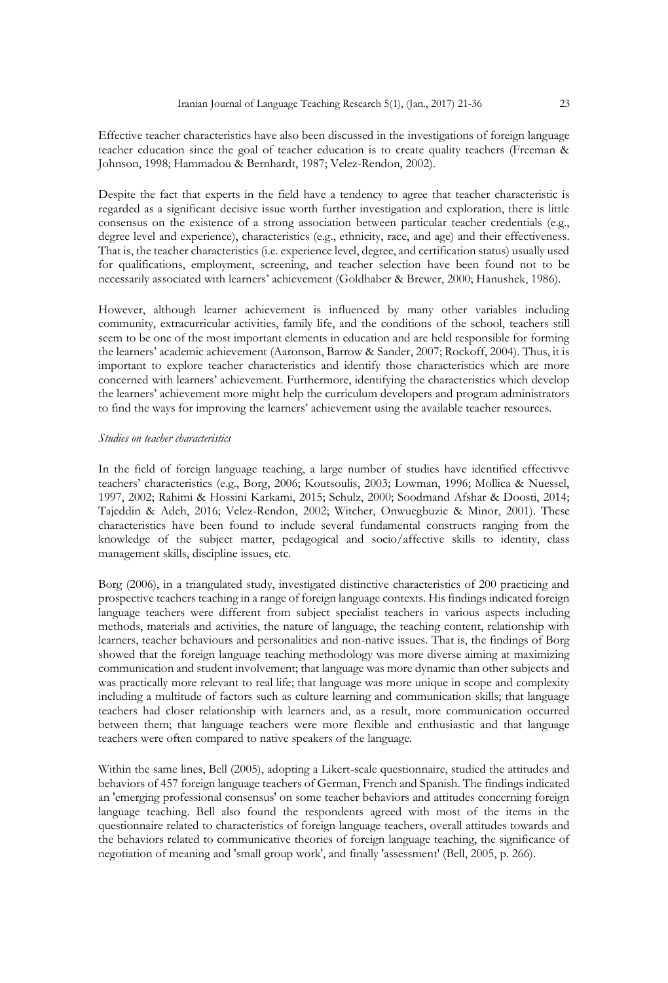Effective teacher characteristics have also been discussed in the investigations of foreign language teacher education since the goal of teacher education is to create quality teachers (Freeman & Johnson, 1998; Hammadou & Bernhardt, 1987; Velez-Rendon, 2002).

Despite the fact that experts in the field have a tendency to agree that teacher characteristic is regarded as a significant decisive issue worth further investigation and exploration, there is little consensus on the existence of a strong association between particular teacher credentials (e.g., degree level and experience), characteristics (e.g., ethnicity, race, and age) and their effectiveness. That is, the teacher characteristics (i.e. experience level, degree, and certification status) usually used for qualifications, employment, screening, and teacher selection have been found not to be necessarily associated with learners' achievement (Goldhaber & Brewer, 2000; Hanushek, 1986).

However, although learner achievement is influenced by many other variables including community, extracurricular activities, family life, and the conditions of the school, teachers still seem to be one of the most important elements in education and are held responsible for forming the learners' academic achievement (Aaronson, Barrow & Sander, 2007; Rockoff, 2004). Thus, it is important to explore teacher characteristics and identify those characteristics which are more concerned with learners' achievement. Furthermore, identifying the characteristics which develop the learners' achievement more might help the curriculum developers and program administrators to find the ways for improving the learners' achievement using the available teacher resources.

### *Studies on teacher characteristics*

In the field of foreign language teaching, a large number of studies have identified effectivve teachers' characteristics (e.g., Borg, 2006; Koutsoulis, 2003; Lowman, 1996; Mollica & Nuessel, 1997, 2002; Rahimi & Hossini Karkami, 2015; Schulz, 2000; Soodmand Afshar & Doosti, 2014; Tajeddin & Adeh, 2016; Velez-Rendon, 2002; Witcher, Onwuegbuzie & Minor, 2001). These characteristics have been found to include several fundamental constructs ranging from the knowledge of the subject matter, pedagogical and socio/affective skills to identity, class management skills, discipline issues, etc.

Borg (2006), in a triangulated study, investigated distinctive characteristics of 200 practicing and prospective teachers teaching in a range of foreign language contexts. His findings indicated foreign language teachers were different from subject specialist teachers in various aspects including methods, materials and activities, the nature of language, the teaching content, relationship with learners, teacher behaviours and personalities and non-native issues. That is, the findings of Borg showed that the foreign language teaching methodology was more diverse aiming at maximizing communication and student involvement; that language was more dynamic than other subjects and was practically more relevant to real life; that language was more unique in scope and complexity including a multitude of factors such as culture learning and communication skills; that language teachers had closer relationship with learners and, as a result, more communication occurred between them; that language teachers were more flexible and enthusiastic and that language teachers were often compared to native speakers of the language.

Within the same lines, Bell (2005), adopting a Likert-scale questionnaire, studied the attitudes and behaviors of 457 foreign language teachers of German, French and Spanish. The findings indicated an 'emerging professional consensus' on some teacher behaviors and attitudes concerning foreign language teaching. Bell also found the respondents agreed with most of the items in the questionnaire related to characteristics of foreign language teachers, overall attitudes towards and the behaviors related to communicative theories of foreign language teaching, the significance of negotiation of meaning and 'small group work', and finally 'assessment' (Bell, 2005, p. 266).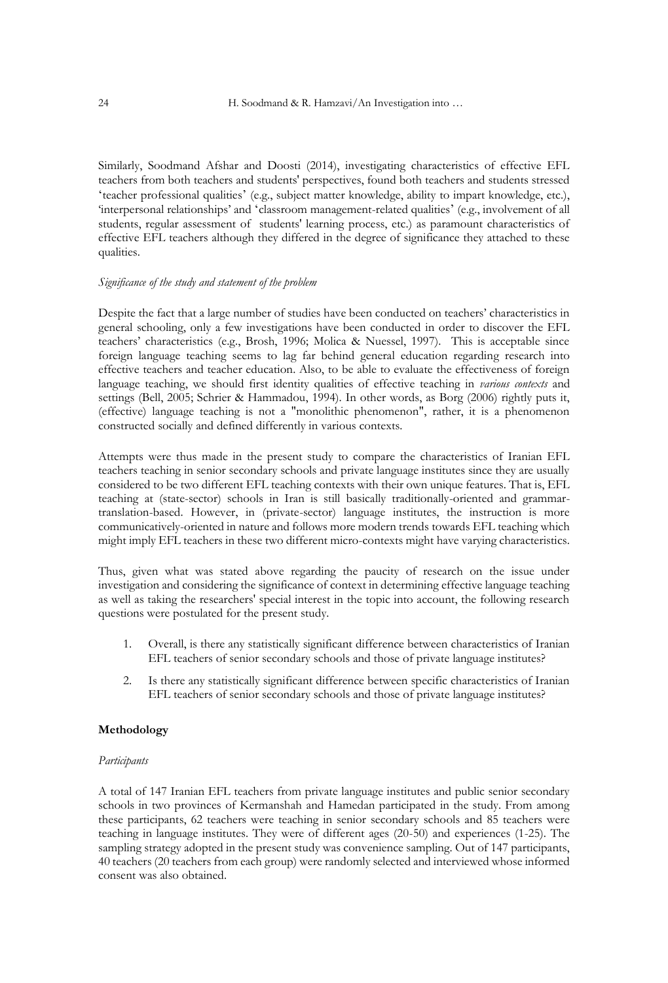Similarly, Soodmand Afshar and Doosti (2014), investigating characteristics of effective EFL teachers from both teachers and students' perspectives, found both teachers and students stressed ʻteacher professional qualities' (e.g., subject matter knowledge, ability to impart knowledge, etc.), 'interpersonal relationships' and ʻclassroom management-related qualities' (e.g., involvement of all students, regular assessment of students' learning process, etc.) as paramount characteristics of effective EFL teachers although they differed in the degree of significance they attached to these qualities.

# *Significance of the study and statement of the problem*

Despite the fact that a large number of studies have been conducted on teachers' characteristics in general schooling, only a few investigations have been conducted in order to discover the EFL teachers' characteristics (e.g., Brosh, 1996; Molica & Nuessel, 1997). This is acceptable since foreign language teaching seems to lag far behind general education regarding research into effective teachers and teacher education. Also, to be able to evaluate the effectiveness of foreign language teaching, we should first identity qualities of effective teaching in *various contexts* and settings (Bell, 2005; Schrier & Hammadou, 1994). In other words, as Borg (2006) rightly puts it, (effective) language teaching is not a "monolithic phenomenon", rather, it is a phenomenon constructed socially and defined differently in various contexts.

Attempts were thus made in the present study to compare the characteristics of Iranian EFL teachers teaching in senior secondary schools and private language institutes since they are usually considered to be two different EFL teaching contexts with their own unique features. That is, EFL teaching at (state-sector) schools in Iran is still basically traditionally-oriented and grammartranslation-based. However, in (private-sector) language institutes, the instruction is more communicatively-oriented in nature and follows more modern trends towards EFL teaching which might imply EFL teachers in these two different micro-contexts might have varying characteristics.

Thus, given what was stated above regarding the paucity of research on the issue under investigation and considering the significance of context in determining effective language teaching as well as taking the researchers' special interest in the topic into account, the following research questions were postulated for the present study.

- 1. Overall, is there any statistically significant difference between characteristics of Iranian EFL teachers of senior secondary schools and those of private language institutes?
- 2. Is there any statistically significant difference between specific characteristics of Iranian EFL teachers of senior secondary schools and those of private language institutes?

# **Methodology**

# *Participants*

A total of 147 Iranian EFL teachers from private language institutes and public senior secondary schools in two provinces of Kermanshah and Hamedan participated in the study. From among these participants, 62 teachers were teaching in senior secondary schools and 85 teachers were teaching in language institutes. They were of different ages (20-50) and experiences (1-25). The sampling strategy adopted in the present study was convenience sampling. Out of 147 participants, 40 teachers (20 teachers from each group) were randomly selected and interviewed whose informed consent was also obtained.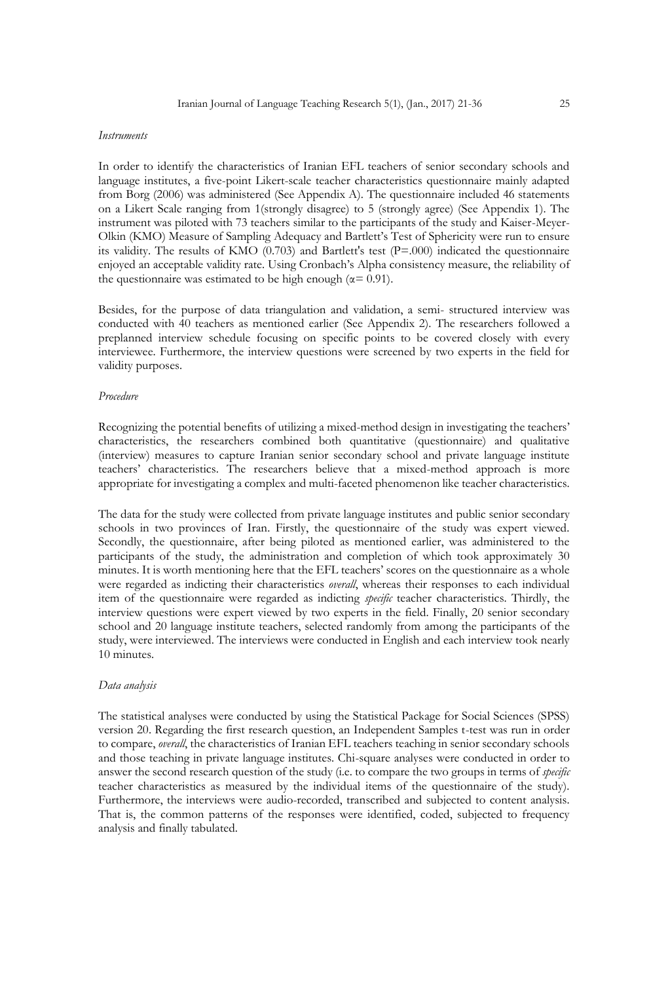#### *Instruments*

In order to identify the characteristics of Iranian EFL teachers of senior secondary schools and language institutes, a five-point Likert-scale teacher characteristics questionnaire mainly adapted from Borg (2006) was administered (See Appendix A). The questionnaire included 46 statements on a Likert Scale ranging from 1(strongly disagree) to 5 (strongly agree) (See Appendix 1). The instrument was piloted with 73 teachers similar to the participants of the study and Kaiser-Meyer-Olkin (KMO) Measure of Sampling Adequacy and Bartlett's Test of Sphericity were run to ensure its validity. The results of KMO (0.703) and Bartlett's test (P=.000) indicated the questionnaire enjoyed an acceptable validity rate. Using Cronbach's Alpha consistency measure, the reliability of the questionnaire was estimated to be high enough ( $\alpha$ = 0.91).

Besides, for the purpose of data triangulation and validation, a semi- structured interview was conducted with 40 teachers as mentioned earlier (See Appendix 2). The researchers followed a preplanned interview schedule focusing on specific points to be covered closely with every interviewee. Furthermore, the interview questions were screened by two experts in the field for validity purposes.

# *Procedure*

Recognizing the potential benefits of utilizing a mixed-method design in investigating the teachers' characteristics, the researchers combined both quantitative (questionnaire) and qualitative (interview) measures to capture Iranian senior secondary school and private language institute teachers' characteristics. The researchers believe that a mixed-method approach is more appropriate for investigating a complex and multi-faceted phenomenon like teacher characteristics.

The data for the study were collected from private language institutes and public senior secondary schools in two provinces of Iran. Firstly, the questionnaire of the study was expert viewed. Secondly, the questionnaire, after being piloted as mentioned earlier, was administered to the participants of the study, the administration and completion of which took approximately 30 minutes. It is worth mentioning here that the EFL teachers' scores on the questionnaire as a whole were regarded as indicting their characteristics *overall*, whereas their responses to each individual item of the questionnaire were regarded as indicting *specific* teacher characteristics. Thirdly, the interview questions were expert viewed by two experts in the field. Finally, 20 senior secondary school and 20 language institute teachers, selected randomly from among the participants of the study, were interviewed. The interviews were conducted in English and each interview took nearly 10 minutes.

# *Data analysis*

The statistical analyses were conducted by using the Statistical Package for Social Sciences (SPSS) version 20. Regarding the first research question, an Independent Samples t-test was run in order to compare, *overall*, the characteristics of Iranian EFL teachers teaching in senior secondary schools and those teaching in private language institutes. Chi-square analyses were conducted in order to answer the second research question of the study (i.e. to compare the two groups in terms of *specific* teacher characteristics as measured by the individual items of the questionnaire of the study). Furthermore, the interviews were audio-recorded, transcribed and subjected to content analysis. That is, the common patterns of the responses were identified, coded, subjected to frequency analysis and finally tabulated.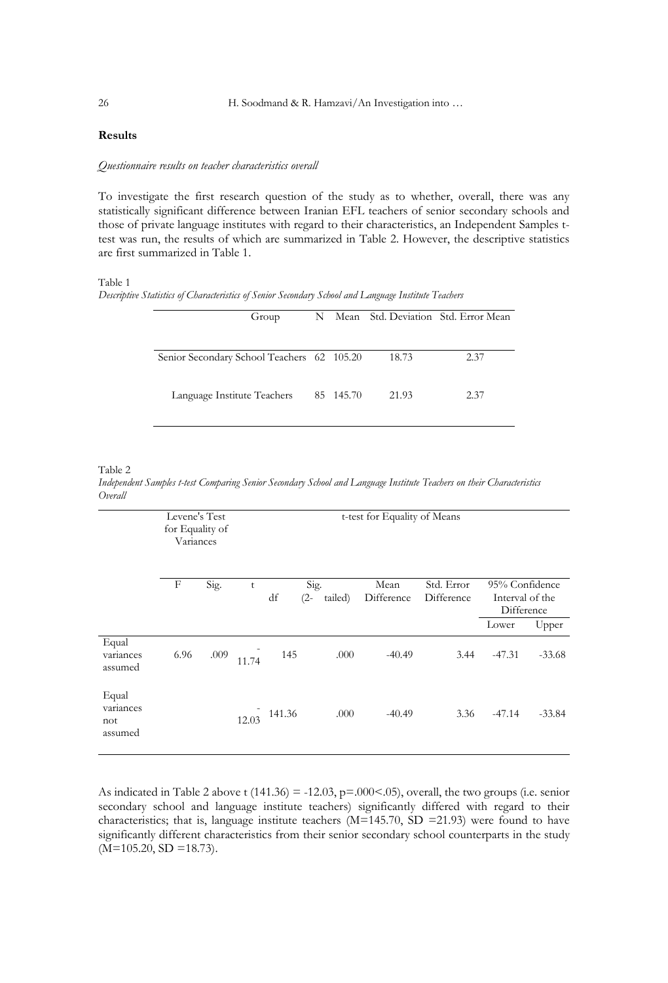# **Results**

#### *Questionnaire results on teacher characteristics overall*

To investigate the first research question of the study as to whether, overall, there was any statistically significant difference between Iranian EFL teachers of senior secondary schools and those of private language institutes with regard to their characteristics, an Independent Samples ttest was run, the results of which are summarized in Table 2. However, the descriptive statistics are first summarized in Table 1.

#### Table 1

*Descriptive Statistics of Characteristics of Senior Secondary School and Language Institute Teachers*

| Group                                      |           |       | N Mean Std. Deviation Std. Error Mean |
|--------------------------------------------|-----------|-------|---------------------------------------|
|                                            |           |       |                                       |
| Senior Secondary School Teachers 62 105.20 |           | 18.73 | 2.37                                  |
|                                            |           |       |                                       |
| Language Institute Teachers                | 85 145.70 | 21.93 | 2.37                                  |
|                                            |           |       |                                       |

#### Table 2

*Independent Samples t-test Comparing Senior Secondary School and Language Institute Teachers on their Characteristics Overall* 

|                                      | Levene's Test<br>for Equality of<br>Variances |                                              |       | t-test for Equality of Means |                          |          |                                                          |          |          |
|--------------------------------------|-----------------------------------------------|----------------------------------------------|-------|------------------------------|--------------------------|----------|----------------------------------------------------------|----------|----------|
|                                      | F                                             | Sig.<br>Sig.<br>t<br>df<br>tailed)<br>$(2 -$ |       | Mean<br>Difference           | Std. Error<br>Difference | Lower    | 95% Confidence<br>Interval of the<br>Difference<br>Upper |          |          |
| Equal<br>variances<br>assumed        | 6.96                                          | .009                                         | 11.74 | 145                          | .000                     | $-40.49$ | 3.44                                                     | $-47.31$ | $-33.68$ |
| Equal<br>variances<br>not<br>assumed |                                               |                                              | 12.03 | 141.36                       | .000                     | $-40.49$ | 3.36                                                     | $-47.14$ | $-33.84$ |

As indicated in Table 2 above t  $(141.36) = -12.03$ ,  $p=0.00<0.05$ ), overall, the two groups (i.e. senior secondary school and language institute teachers) significantly differed with regard to their characteristics; that is, language institute teachers (M=145.70, SD =21.93) were found to have significantly different characteristics from their senior secondary school counterparts in the study  $(M=105.20, SD = 18.73).$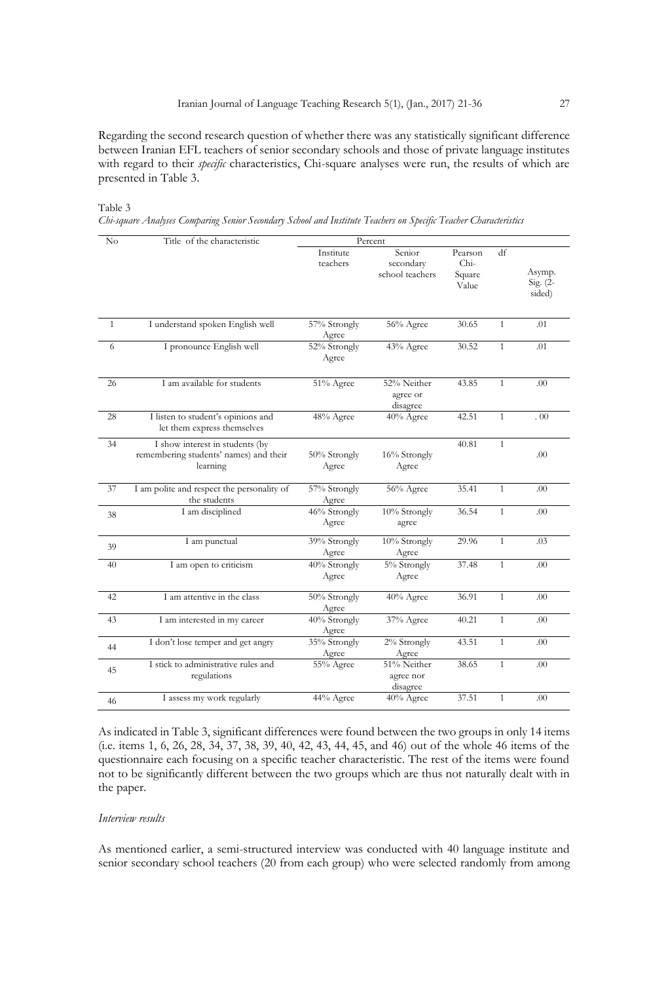Regarding the second research question of whether there was any statistically significant difference between Iranian EFL teachers of senior secondary schools and those of private language institutes with regard to their *specific* characteristics, Chi-square analyses were run, the results of which are presented in Table 3.

Table 3 *Chi-square Analyses Comparing Senior Secondary School and Institute Teachers on Specific Teacher Characteristics*

| No           | Title of the characteristic                                                           |                         | Percent                                |                                    |              |                                 |
|--------------|---------------------------------------------------------------------------------------|-------------------------|----------------------------------------|------------------------------------|--------------|---------------------------------|
|              |                                                                                       | Institute<br>teachers   | Senior<br>secondary<br>school teachers | Pearson<br>Chi-<br>Square<br>Value | df           | Asymp.<br>$Sig. (2 -$<br>sided) |
| $\mathbf{1}$ | I understand spoken English well                                                      | 57% Strongly<br>Agree   | 56% Agree                              | 30.65                              | $\mathbf{1}$ | .01                             |
| 6            | I pronounce English well                                                              | 52% Strongly<br>Agree   | 43% Agree                              | 30.52                              | $\mathbf{1}$ | .01                             |
| 26           | I am available for students                                                           | $\overline{51\%}$ Agree | 52% Neither<br>agree or<br>disagree    | 43.85                              | $\mathbf{1}$ | .00                             |
| 28           | I listen to student's opinions and<br>let them express themselves                     | 48% Agree               | 40% Agree                              | 42.51                              | $\mathbf{1}$ | . 00                            |
| 34           | I show interest in students (by<br>remembering students' names) and their<br>learning | 50% Strongly<br>Agree   | 16% Strongly<br>Agree                  | 40.81                              | $\mathbf{1}$ | .00                             |
| 37           | I am polite and respect the personality of<br>the students                            | 57% Strongly<br>Agree   | 56% Agree                              | 35.41                              | $\mathbf{1}$ | .00                             |
| 38           | I am disciplined                                                                      | 46% Strongly<br>Agree   | 10% Strongly<br>agree                  | 36.54                              | $\mathbf{1}$ | .00                             |
| 39           | I am punctual                                                                         | 39% Strongly<br>Agree   | 10% Strongly<br>Agree                  | 29.96                              | $\mathbf{1}$ | .03                             |
| 40           | I am open to criticism                                                                | 40% Strongly<br>Agree   | 5% Strongly<br>Agree                   | 37.48                              | $\mathbf{1}$ | .00                             |
| 42           | I am attentive in the class                                                           | 50% Strongly<br>Agree   | 40% Agree                              | 36.91                              | $\mathbf{1}$ | .00                             |
| 43           | I am interested in my career                                                          | 40% Strongly<br>Agree   | 37% Agree                              | 40.21                              | $\mathbf{1}$ | .00                             |
| 44           | I don't lose temper and get angry                                                     | 35% Strongly<br>Agree   | 2% Strongly<br>Agree                   | 43.51                              | $\mathbf{1}$ | .00                             |
| 45           | I stick to administrative rules and<br>regulations                                    | 55% Agree               | 51% Neither<br>agree nor<br>disagree   | 38.65                              | $\mathbf{1}$ | .00                             |
| 46           | I assess my work regularly                                                            | 44% Agree               | 40% Agree                              | 37.51                              | $\mathbf{1}$ | .00                             |

As indicated in Table 3, significant differences were found between the two groups in only 14 items (i.e. items 1, 6, 26, 28, 34, 37, 38, 39, 40, 42, 43, 44, 45, and 46) out of the whole 46 items of the questionnaire each focusing on a specific teacher characteristic. The rest of the items were found not to be significantly different between the two groups which are thus not naturally dealt with in the paper.

# *Interview results*

As mentioned earlier, a semi-structured interview was conducted with 40 language institute and senior secondary school teachers (20 from each group) who were selected randomly from among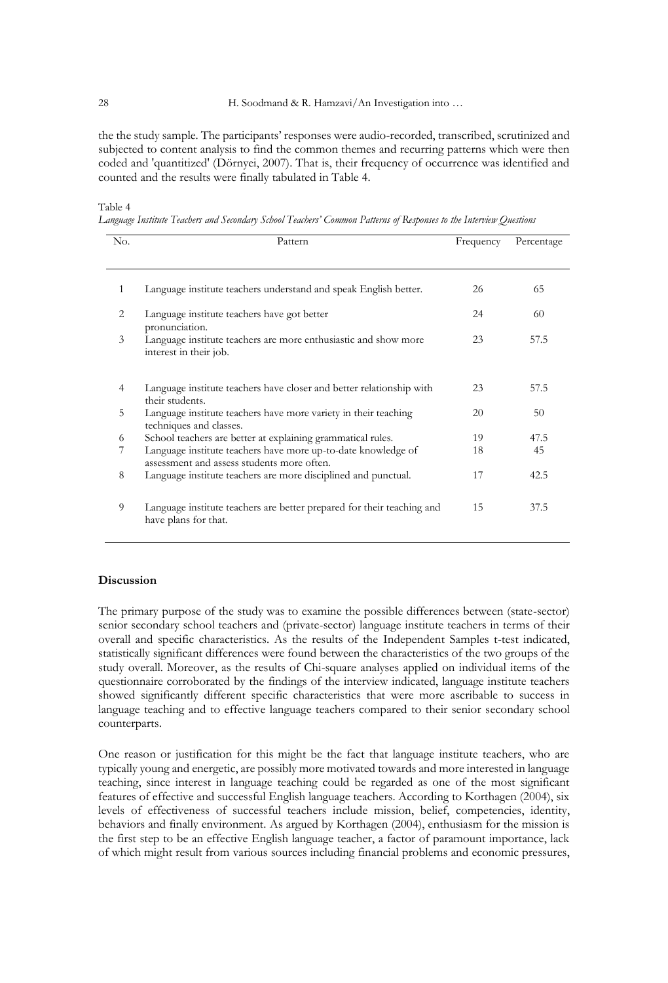the the study sample. The participants' responses were audio-recorded, transcribed, scrutinized and subjected to content analysis to find the common themes and recurring patterns which were then coded and 'quantitized' (Dörnyei, 2007). That is, their frequency of occurrence was identified and counted and the results were finally tabulated in Table 4.

Table 4

*Language Institute Teachers and Secondary School Teachers' Common Patterns of Responses to the Interview Questions* 

| No.            | Pattern                                                                                                     | Frequency | Percentage |  |
|----------------|-------------------------------------------------------------------------------------------------------------|-----------|------------|--|
|                |                                                                                                             |           |            |  |
| $\mathbf{1}$   | Language institute teachers understand and speak English better.                                            | 26        | 65         |  |
| 2              | Language institute teachers have got better<br>pronunciation.                                               | 24        | 60         |  |
| 3              | Language institute teachers are more enthusiastic and show more<br>interest in their job.                   | 23        | 57.5       |  |
| $\overline{4}$ | Language institute teachers have closer and better relationship with<br>their students.                     | 23        | 57.5       |  |
| 5              | Language institute teachers have more variety in their teaching<br>techniques and classes.                  | 20        | 50         |  |
| 6              | School teachers are better at explaining grammatical rules.                                                 | 19        | 47.5       |  |
| 7              | Language institute teachers have more up-to-date knowledge of<br>assessment and assess students more often. | 18        | 45         |  |
| 8              | Language institute teachers are more disciplined and punctual.                                              | 17        | 42.5       |  |
| 9              | Language institute teachers are better prepared for their teaching and<br>have plans for that.              | 15        | 37.5       |  |

# **Discussion**

The primary purpose of the study was to examine the possible differences between (state-sector) senior secondary school teachers and (private-sector) language institute teachers in terms of their overall and specific characteristics. As the results of the Independent Samples t-test indicated, statistically significant differences were found between the characteristics of the two groups of the study overall. Moreover, as the results of Chi-square analyses applied on individual items of the questionnaire corroborated by the findings of the interview indicated, language institute teachers showed significantly different specific characteristics that were more ascribable to success in language teaching and to effective language teachers compared to their senior secondary school counterparts.

One reason or justification for this might be the fact that language institute teachers, who are typically young and energetic, are possibly more motivated towards and more interested in language teaching, since interest in language teaching could be regarded as one of the most significant features of effective and successful English language teachers. According to Korthagen (2004), six levels of effectiveness of successful teachers include mission, belief, competencies, identity, behaviors and finally environment. As argued by Korthagen (2004), enthusiasm for the mission is the first step to be an effective English language teacher, a factor of paramount importance, lack of which might result from various sources including financial problems and economic pressures,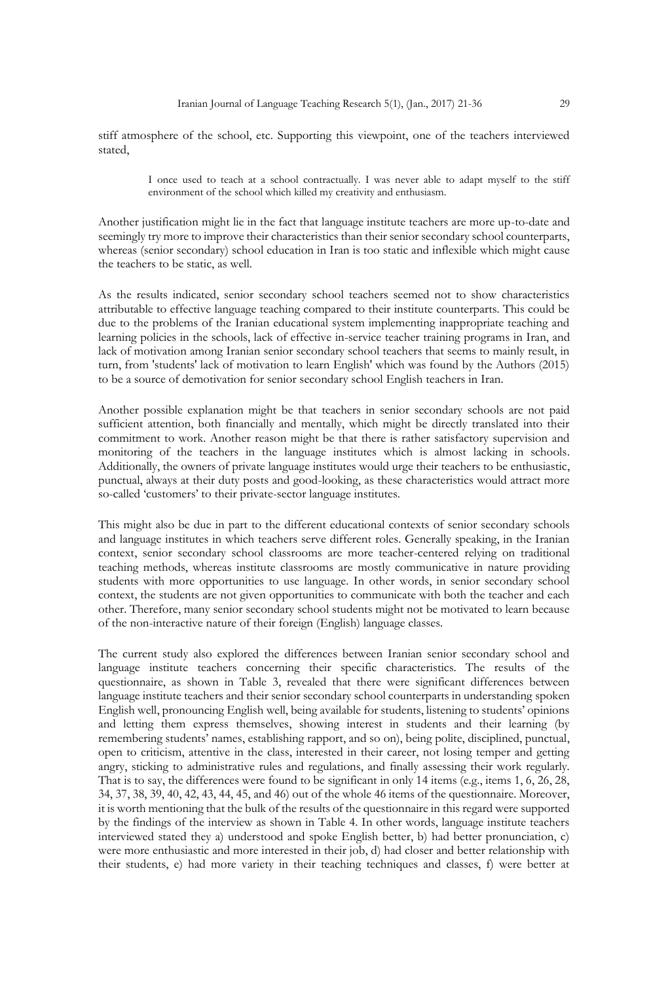stiff atmosphere of the school, etc. Supporting this viewpoint, one of the teachers interviewed stated,

> I once used to teach at a school contractually. I was never able to adapt myself to the stiff environment of the school which killed my creativity and enthusiasm.

Another justification might lie in the fact that language institute teachers are more up-to-date and seemingly try more to improve their characteristics than their senior secondary school counterparts, whereas (senior secondary) school education in Iran is too static and inflexible which might cause the teachers to be static, as well.

As the results indicated, senior secondary school teachers seemed not to show characteristics attributable to effective language teaching compared to their institute counterparts. This could be due to the problems of the Iranian educational system implementing inappropriate teaching and learning policies in the schools, lack of effective in-service teacher training programs in Iran, and lack of motivation among Iranian senior secondary school teachers that seems to mainly result, in turn, from 'students' lack of motivation to learn English' which was found by the Authors (2015) to be a source of demotivation for senior secondary school English teachers in Iran.

Another possible explanation might be that teachers in senior secondary schools are not paid sufficient attention, both financially and mentally, which might be directly translated into their commitment to work. Another reason might be that there is rather satisfactory supervision and monitoring of the teachers in the language institutes which is almost lacking in schools. Additionally, the owners of private language institutes would urge their teachers to be enthusiastic, punctual, always at their duty posts and good-looking, as these characteristics would attract more so-called 'customers' to their private-sector language institutes.

This might also be due in part to the different educational contexts of senior secondary schools and language institutes in which teachers serve different roles. Generally speaking, in the Iranian context, senior secondary school classrooms are more teacher-centered relying on traditional teaching methods, whereas institute classrooms are mostly communicative in nature providing students with more opportunities to use language. In other words, in senior secondary school context, the students are not given opportunities to communicate with both the teacher and each other. Therefore, many senior secondary school students might not be motivated to learn because of the non-interactive nature of their foreign (English) language classes.

The current study also explored the differences between Iranian senior secondary school and language institute teachers concerning their specific characteristics. The results of the questionnaire, as shown in Table 3, revealed that there were significant differences between language institute teachers and their senior secondary school counterparts in understanding spoken English well, pronouncing English well, being available for students, listening to students' opinions and letting them express themselves, showing interest in students and their learning (by remembering students' names, establishing rapport, and so on), being polite, disciplined, punctual, open to criticism, attentive in the class, interested in their career, not losing temper and getting angry, sticking to administrative rules and regulations, and finally assessing their work regularly. That is to say, the differences were found to be significant in only 14 items (e.g., items 1, 6, 26, 28, 34, 37, 38, 39, 40, 42, 43, 44, 45, and 46) out of the whole 46 items of the questionnaire. Moreover, it is worth mentioning that the bulk of the results of the questionnaire in this regard were supported by the findings of the interview as shown in Table 4. In other words, language institute teachers interviewed stated they a) understood and spoke English better, b) had better pronunciation, c) were more enthusiastic and more interested in their job, d) had closer and better relationship with their students, e) had more variety in their teaching techniques and classes, f) were better at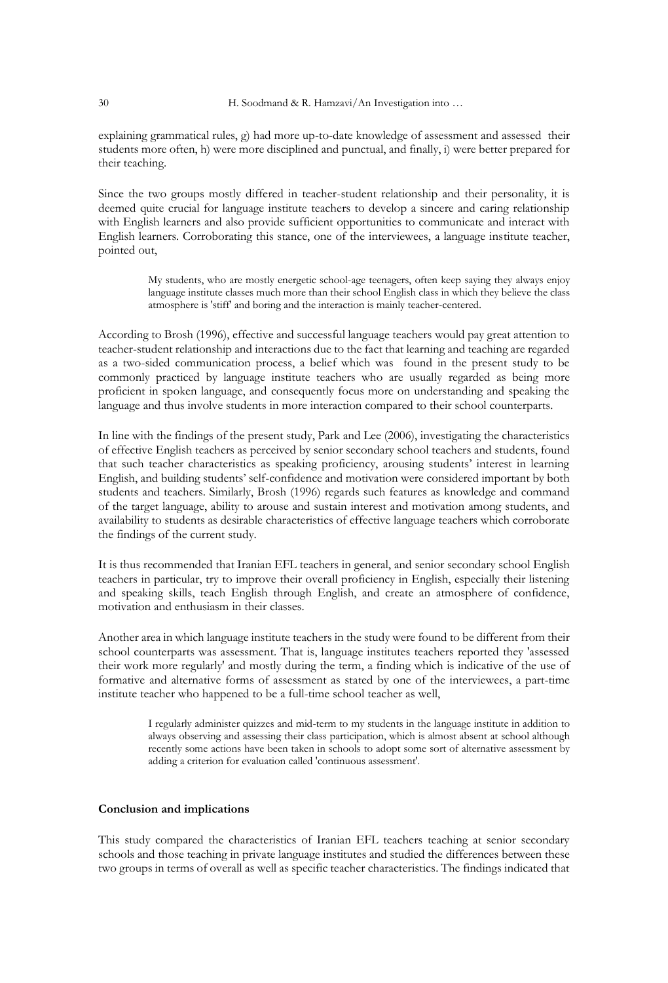explaining grammatical rules, g) had more up-to-date knowledge of assessment and assessed their students more often, h) were more disciplined and punctual, and finally, i) were better prepared for their teaching.

Since the two groups mostly differed in teacher-student relationship and their personality, it is deemed quite crucial for language institute teachers to develop a sincere and caring relationship with English learners and also provide sufficient opportunities to communicate and interact with English learners. Corroborating this stance, one of the interviewees, a language institute teacher, pointed out,

> My students, who are mostly energetic school-age teenagers, often keep saying they always enjoy language institute classes much more than their school English class in which they believe the class atmosphere is 'stiff' and boring and the interaction is mainly teacher-centered.

According to Brosh (1996), effective and successful language teachers would pay great attention to teacher-student relationship and interactions due to the fact that learning and teaching are regarded as a two-sided communication process, a belief which was found in the present study to be commonly practiced by language institute teachers who are usually regarded as being more proficient in spoken language, and consequently focus more on understanding and speaking the language and thus involve students in more interaction compared to their school counterparts.

In line with the findings of the present study, Park and Lee (2006), investigating the characteristics of effective English teachers as perceived by senior secondary school teachers and students, found that such teacher characteristics as speaking proficiency, arousing students' interest in learning English, and building students' self-confidence and motivation were considered important by both students and teachers. Similarly, Brosh (1996) regards such features as knowledge and command of the target language, ability to arouse and sustain interest and motivation among students, and availability to students as desirable characteristics of effective language teachers which corroborate the findings of the current study.

It is thus recommended that Iranian EFL teachers in general, and senior secondary school English teachers in particular, try to improve their overall proficiency in English, especially their listening and speaking skills, teach English through English, and create an atmosphere of confidence, motivation and enthusiasm in their classes.

Another area in which language institute teachers in the study were found to be different from their school counterparts was assessment. That is, language institutes teachers reported they 'assessed their work more regularly' and mostly during the term, a finding which is indicative of the use of formative and alternative forms of assessment as stated by one of the interviewees, a part-time institute teacher who happened to be a full-time school teacher as well,

> I regularly administer quizzes and mid-term to my students in the language institute in addition to always observing and assessing their class participation, which is almost absent at school although recently some actions have been taken in schools to adopt some sort of alternative assessment by adding a criterion for evaluation called 'continuous assessment'.

# **Conclusion and implications**

This study compared the characteristics of Iranian EFL teachers teaching at senior secondary schools and those teaching in private language institutes and studied the differences between these two groups in terms of overall as well as specific teacher characteristics. The findings indicated that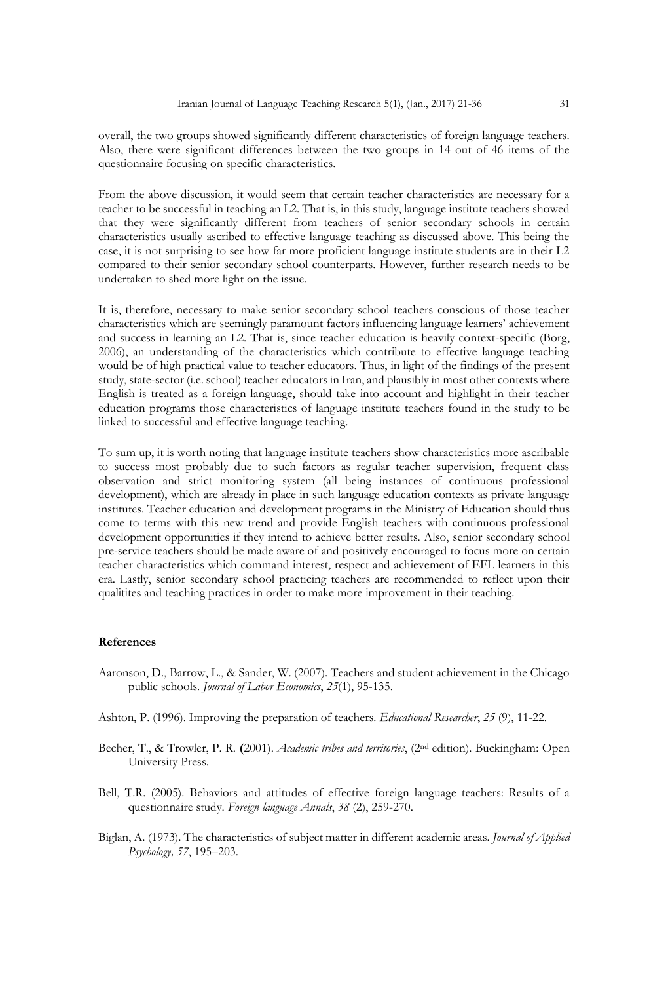overall, the two groups showed significantly different characteristics of foreign language teachers. Also, there were significant differences between the two groups in 14 out of 46 items of the questionnaire focusing on specific characteristics.

From the above discussion, it would seem that certain teacher characteristics are necessary for a teacher to be successful in teaching an L2. That is, in this study, language institute teachers showed that they were significantly different from teachers of senior secondary schools in certain characteristics usually ascribed to effective language teaching as discussed above. This being the case, it is not surprising to see how far more proficient language institute students are in their L2 compared to their senior secondary school counterparts. However, further research needs to be undertaken to shed more light on the issue.

It is, therefore, necessary to make senior secondary school teachers conscious of those teacher characteristics which are seemingly paramount factors influencing language learners' achievement and success in learning an L2. That is, since teacher education is heavily context-specific (Borg, 2006), an understanding of the characteristics which contribute to effective language teaching would be of high practical value to teacher educators. Thus, in light of the findings of the present study, state-sector (i.e. school) teacher educators in Iran, and plausibly in most other contexts where English is treated as a foreign language, should take into account and highlight in their teacher education programs those characteristics of language institute teachers found in the study to be linked to successful and effective language teaching.

To sum up, it is worth noting that language institute teachers show characteristics more ascribable to success most probably due to such factors as regular teacher supervision, frequent class observation and strict monitoring system (all being instances of continuous professional development), which are already in place in such language education contexts as private language institutes. Teacher education and development programs in the Ministry of Education should thus come to terms with this new trend and provide English teachers with continuous professional development opportunities if they intend to achieve better results. Also, senior secondary school pre-service teachers should be made aware of and positively encouraged to focus more on certain teacher characteristics which command interest, respect and achievement of EFL learners in this era. Lastly, senior secondary school practicing teachers are recommended to reflect upon their qualitites and teaching practices in order to make more improvement in their teaching.

# **References**

- Aaronson, D., Barrow, L., & Sander, W. (2007). Teachers and student achievement in the Chicago public schools. *Journal of Labor Economics*, *25*(1), 95-135.
- Ashton, P. (1996). Improving the preparation of teachers. *Educational Researcher*, *25* (9), 11-22.
- Becher, T., & Trowler, P. R. **(**2001). *Academic tribes and territories*, (2nd edition). Buckingham: Open University Press.
- Bell, T.R. (2005). Behaviors and attitudes of effective foreign language teachers: Results of a questionnaire study. *Foreign language Annals*, *38* (2), 259-270.
- Biglan, A. (1973). The characteristics of subject matter in different academic areas. *Journal of Applied Psychology, 57*, 195–203.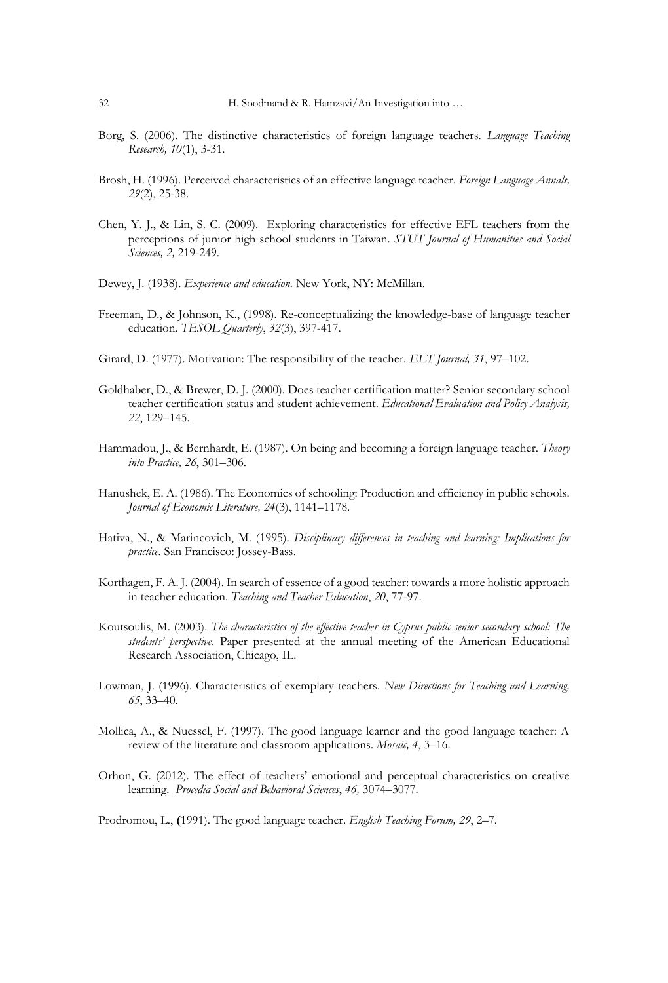- Borg, S. (2006). The distinctive characteristics of foreign language teachers. *Language Teaching Research, 10*(1), 3-31.
- Brosh, H. (1996). Perceived characteristics of an effective language teacher. *Foreign Language Annals, 29*(2), 25-38.
- Chen, Y. J., & Lin, S. C. (2009). Exploring characteristics for effective EFL teachers from the perceptions of junior high school students in Taiwan. *STUT Journal of Humanities and Social Sciences, 2,* 219-249.
- Dewey, J. (1938). *Experience and education.* New York, NY: McMillan.
- Freeman, D., & Johnson, K., (1998). Re-conceptualizing the knowledge-base of language teacher education. *TESOL Quarterly*, *32*(3), 397-417.
- Girard, D. (1977). Motivation: The responsibility of the teacher. *ELT Journal, 31*, 97–102.
- Goldhaber, D., & Brewer, D. J. (2000). Does teacher certification matter? Senior secondary school teacher certification status and student achievement. *Educational Evaluation and Policy Analysis, 22*, 129–145.
- Hammadou, J., & Bernhardt, E. (1987). On being and becoming a foreign language teacher. *Theory into Practice, 26*, 301–306.
- Hanushek, E. A. (1986). The Economics of schooling: Production and efficiency in public schools. *Journal of Economic Literature, 24*(3), 1141–1178.
- Hativa, N., & Marincovich, M. (1995). *Disciplinary differences in teaching and learning: Implications for practice.* San Francisco: Jossey-Bass.
- Korthagen, F. A. J. (2004). In search of essence of a good teacher: towards a more holistic approach in teacher education. *Teaching and Teacher Education*, *20*, 77-97.
- Koutsoulis, M. (2003). *The characteristics of the effective teacher in Cyprus public senior secondary school: The students' perspective*. Paper presented at the annual meeting of the American Educational Research Association, Chicago, IL.
- Lowman, J. (1996). Characteristics of exemplary teachers. *New Directions for Teaching and Learning, 65*, 33–40.
- Mollica, A., & Nuessel, F. (1997). The good language learner and the good language teacher: A review of the literature and classroom applications*. Mosaic, 4*, 3–16.
- Orhon, G. (2012). The effect of teachers' emotional and perceptual characteristics on creative learning. *Procedia Social and Behavioral Sciences*, *46,* 3074–3077.

Prodromou, L., **(**1991). The good language teacher. *English Teaching Forum, 29*, 2–7.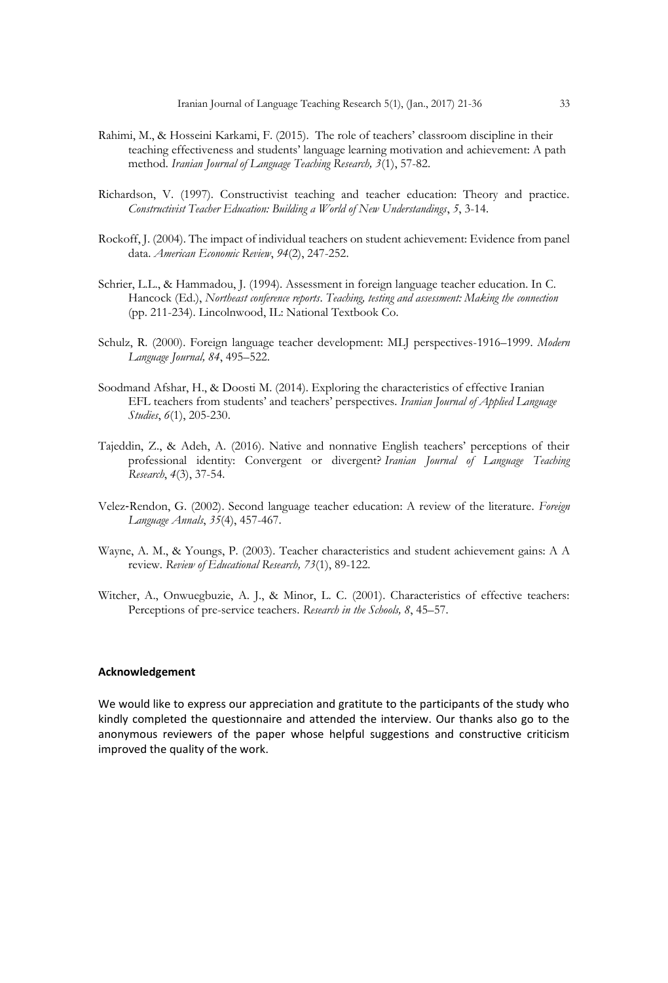- Rahimi, M., & Hosseini Karkami, F. (2015). The role of teachers' classroom discipline in their teaching effectiveness and students' language learning motivation and achievement: A path method*. Iranian Journal of Language Teaching Research, 3*(1), 57-82.
- Richardson, V. (1997). Constructivist teaching and teacher education: Theory and practice. *Constructivist Teacher Education: Building a World of New Understandings*, *5*, 3-14.
- Rockoff, J. (2004). The impact of individual teachers on student achievement: Evidence from panel data. *American Economic Review*, *94*(2), 247-252.
- Schrier, L.L., & Hammadou, J. (1994). Assessment in foreign language teacher education. In C. Hancock (Ed.), *Northeast conference reports*. *Teaching, testing and assessment: Making the connection* (pp. 211-234). Lincolnwood, IL: National Textbook Co*.*
- Schulz, R. (2000). Foreign language teacher development: MLJ perspectives-1916–1999. *Modern Language Journal, 84*, 495–522.
- Soodmand Afshar, H., & Doosti M. (2014). Exploring the characteristics of effective Iranian EFL teachers from students' and teachers' perspectives. *Iranian Journal of Applied Language Studies*, *6*(1), 205-230.
- Tajeddin, Z., & Adeh, A. (2016). Native and nonnative English teachers' perceptions of their professional identity: Convergent or divergent? *Iranian Journal of Language Teaching Research*, *4*(3), 37-54.
- Velez‐Rendon, G. (2002). Second language teacher education: A review of the literature. *Foreign Language Annals*, *35*(4), 457-467.
- Wayne, A. M., & Youngs, P. (2003). Teacher characteristics and student achievement gains: A A review. *Review of Educational Research, 73*(1), 89-122.
- Witcher, A., Onwuegbuzie, A. J., & Minor, L. C. (2001). Characteristics of effective teachers: Perceptions of pre-service teachers. *Research in the Schools, 8*, 45–57.

# **Acknowledgement**

We would like to express our appreciation and gratitute to the participants of the study who kindly completed the questionnaire and attended the interview. Our thanks also go to the anonymous reviewers of the paper whose helpful suggestions and constructive criticism improved the quality of the work.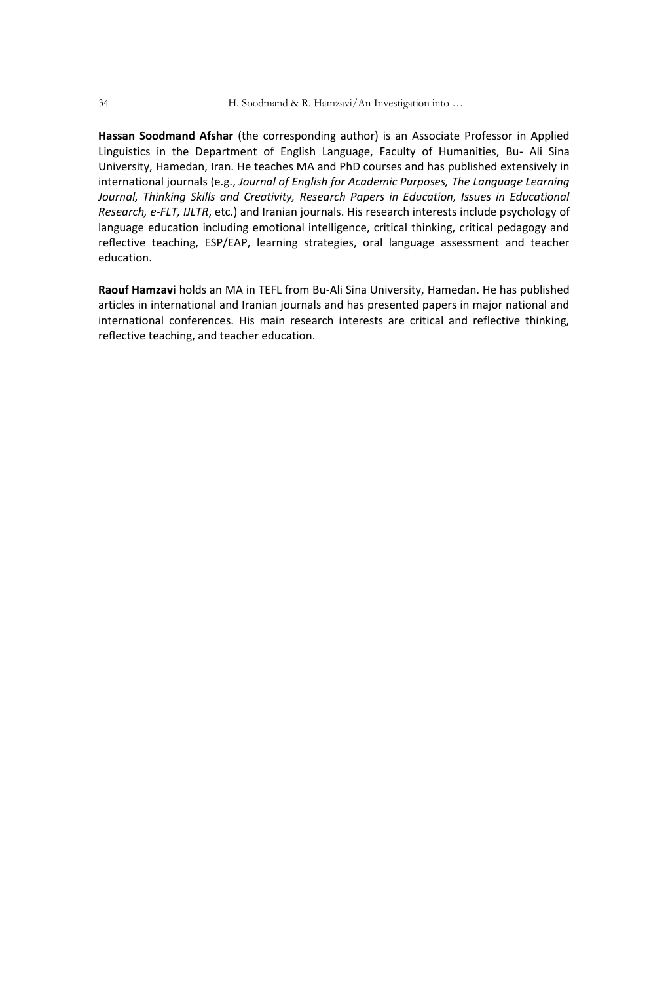**Hassan Soodmand Afshar** (the corresponding author) is an Associate Professor in Applied Linguistics in the Department of English Language, Faculty of Humanities, Bu- Ali Sina University, Hamedan, Iran. He teaches MA and PhD courses and has published extensively in international journals (e.g., *Journal of English for Academic Purposes, The Language Learning*  Journal, Thinking Skills and Creativity, Research Papers in Education, Issues in Educational *Research, e-FLT, IJLTR*, etc.) and Iranian journals. His research interests include psychology of language education including emotional intelligence, critical thinking, critical pedagogy and reflective teaching, ESP/EAP, learning strategies, oral language assessment and teacher education.

**Raouf Hamzavi** holds an MA in TEFL from Bu-Ali Sina University, Hamedan. He has published articles in international and Iranian journals and has presented papers in major national and international conferences. His main research interests are critical and reflective thinking, reflective teaching, and teacher education.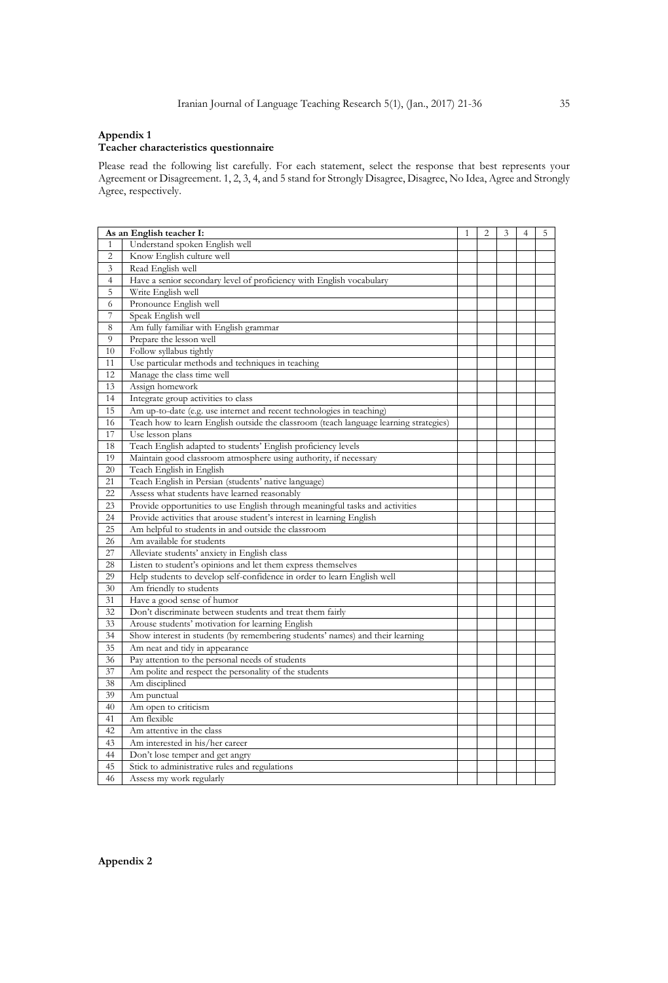#### **Appendix 1**

#### **Teacher characteristics questionnaire**

Please read the following list carefully. For each statement, select the response that best represents your Agreement or Disagreement. 1, 2, 3, 4, and 5 stand for Strongly Disagree, Disagree, No Idea, Agree and Strongly Agree, respectively.

|                | As an English teacher I:                                                              | 1 | $\overline{c}$ | 3 | 4 | 5 |
|----------------|---------------------------------------------------------------------------------------|---|----------------|---|---|---|
| 1              | Understand spoken English well                                                        |   |                |   |   |   |
| $\overline{c}$ | Know English culture well                                                             |   |                |   |   |   |
| 3              | Read English well                                                                     |   |                |   |   |   |
| $\overline{4}$ | Have a senior secondary level of proficiency with English vocabulary                  |   |                |   |   |   |
| 5              | Write English well                                                                    |   |                |   |   |   |
| 6              | Pronounce English well                                                                |   |                |   |   |   |
| 7              | Speak English well                                                                    |   |                |   |   |   |
| 8              | Am fully familiar with English grammar                                                |   |                |   |   |   |
| 9              | Prepare the lesson well                                                               |   |                |   |   |   |
| 10             | Follow syllabus tightly                                                               |   |                |   |   |   |
| 11             | Use particular methods and techniques in teaching                                     |   |                |   |   |   |
| 12             | Manage the class time well                                                            |   |                |   |   |   |
| 13             | Assign homework                                                                       |   |                |   |   |   |
| 14             | Integrate group activities to class                                                   |   |                |   |   |   |
| 15             | Am up-to-date (e.g. use internet and recent technologies in teaching)                 |   |                |   |   |   |
| 16             | Teach how to learn English outside the classroom (teach language learning strategies) |   |                |   |   |   |
| 17             | Use lesson plans                                                                      |   |                |   |   |   |
| 18             | Teach English adapted to students' English proficiency levels                         |   |                |   |   |   |
| 19             | Maintain good classroom atmosphere using authority, if necessary                      |   |                |   |   |   |
| 20             | Teach English in English                                                              |   |                |   |   |   |
| 21             | Teach English in Persian (students' native language)                                  |   |                |   |   |   |
| 22             | Assess what students have learned reasonably                                          |   |                |   |   |   |
| 23             | Provide opportunities to use English through meaningful tasks and activities          |   |                |   |   |   |
| 24             | Provide activities that arouse student's interest in learning English                 |   |                |   |   |   |
| 25             | Am helpful to students in and outside the classroom                                   |   |                |   |   |   |
| 26             | Am available for students                                                             |   |                |   |   |   |
| 27             | Alleviate students' anxiety in English class                                          |   |                |   |   |   |
| 28             | Listen to student's opinions and let them express themselves                          |   |                |   |   |   |
| 29             | Help students to develop self-confidence in order to learn English well               |   |                |   |   |   |
| 30             | Am friendly to students                                                               |   |                |   |   |   |
| 31             | Have a good sense of humor                                                            |   |                |   |   |   |
| 32             | Don't discriminate between students and treat them fairly                             |   |                |   |   |   |
| 33             | Arouse students' motivation for learning English                                      |   |                |   |   |   |
| 34             | Show interest in students (by remembering students' names) and their learning         |   |                |   |   |   |
| 35             | Am neat and tidy in appearance                                                        |   |                |   |   |   |
| 36             | Pay attention to the personal needs of students                                       |   |                |   |   |   |
| 37             | Am polite and respect the personality of the students                                 |   |                |   |   |   |
| 38             | Am disciplined                                                                        |   |                |   |   |   |
| 39             | Am punctual                                                                           |   |                |   |   |   |
| 40             | Am open to criticism                                                                  |   |                |   |   |   |
| 41             | Am flexible                                                                           |   |                |   |   |   |
| 42             | Am attentive in the class                                                             |   |                |   |   |   |
| 43             | Am interested in his/her career                                                       |   |                |   |   |   |
| 44             | Don't lose temper and get angry                                                       |   |                |   |   |   |
| 45             | Stick to administrative rules and regulations                                         |   |                |   |   |   |
| 46             | Assess my work regularly                                                              |   |                |   |   |   |

**Appendix 2**